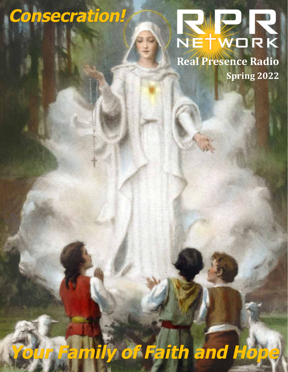# **Consecration!**



**Real Presence Radio Spring 2022**

**Your Family of Faith and Hope**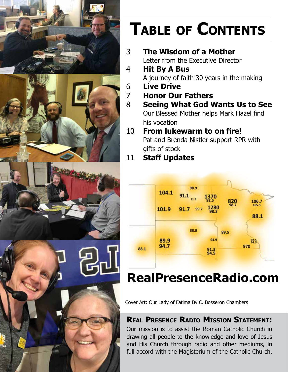

# **Table of Contents**

- 3 **The Wisdom of a Mother** Letter from the Executive Director
- 4 **Hit By A Bus**

A journey of faith 30 years in the making

- 6 **Live Drive** 
	-
- 7 **Honor Our Fathers** 8 **Seeing What God Wants Us to See** Our Blessed Mother helps Mark Hazel find his vocation

#### 10 **From lukewarm to on fire!** Pat and Brenda Nistler support RPR with gifts of stock

11 **Staff Updates**



## **RealPresenceRadio.com**

Cover Art: Our Lady of Fatima By C. Bosseron Chambers

#### **Real Presence Radio Mission Statement:**

Our mission is to assist the Roman Catholic Church in drawing all people to the knowledge and love of Jesus and His Church through radio and other mediums, in full accord with the Magisterium of the Catholic Church.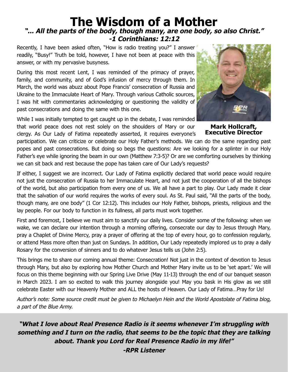#### **The Wisdom of a Mother "... All the parts of the body, though many, are one body, so also Christ." -1 Corinthians: 12:12**

Recently, I have been asked often, "How is radio treating you?" I answer readily, "Busy!" Truth be told, however, I have not been at peace with this answer, or with my pervasive busyness.

During this most recent Lent, I was reminded of the primacy of prayer, family, and community, and of God's infusion of mercy through them. In March, the world was abuzz about Pope Francis' consecration of Russia and Ukraine to the Immaculate Heart of Mary. Through various Catholic sources, I was hit with commentaries acknowledging or questioning the validity of past consecrations and doing the same with this one.

While I was initially tempted to get caught up in the debate, I was reminded that world peace does not rest solely on the shoulders of Mary or our clergy. As Our Lady of Fatima repeatedly asserted, it requires everyone's

**Mark Hollcraft, Executive Director**

participation. We can criticize or celebrate our Holy Father's methods. We can do the same regarding past popes and past consecrations. But doing so begs the questions: Are we looking for a splinter in our Holy Father's eye while ignoring the beam in our own (Matthew 7:3-5)? Or are we comforting ourselves by thinking we can sit back and rest because the pope has taken care of Our Lady's requests?

If either, I suggest we are incorrect. Our Lady of Fatima explicitly declared that world peace would require not just the consecration of Russia to her Immaculate Heart, and not just the cooperation of all the bishops of the world, but also participation from every one of us. We all have a part to play. Our Lady made it clear that the salvation of our world requires the works of every soul. As St. Paul said, "All the parts of the body, though many, are one body" (1 Cor 12:12). This includes our Holy Father, bishops, priests, religious and the lay people. For our body to function in its fullness, all parts must work together.

First and foremost, I believe we must aim to sanctify our daily lives. Consider some of the following: when we wake, we can declare our intention through a morning offering, consecrate our day to Jesus through Mary, pray a Chaplet of Divine Mercy, pray a prayer of offering at the top of every hour, go to confession regularly, or attend Mass more often than just on Sundays. In addition, Our Lady repeatedly implored us to pray a daily Rosary for the conversion of sinners and to do whatever Jesus tells us (John 2:5).

This brings me to share our coming annual theme: Consecration! Not just in the context of devotion to Jesus through Mary, but also by exploring how Mother Church and Mother Mary invite us to be 'set apart.' We will focus on this theme beginning with our Spring Live Drive (May 11-13) through the end of our banquet season in March 2023. I am so excited to walk this journey alongside you! May you bask in His glow as we still celebrate Easter with our Heavenly Mother and ALL the hosts of Heaven. Our Lady of Fatima…Pray for Us!

Author's note: Some source credit must be given to Michaelyn Hein and the World Apostolate of Fatima blog, a part of the Blue Army.

**"What I love about Real Presence Radio is it seems whenever I'm struggling with something and I turn on the radio, that seems to be the topic that they are talking about. Thank you Lord for Real Presence Radio in my life!"**

**-RPR Listener**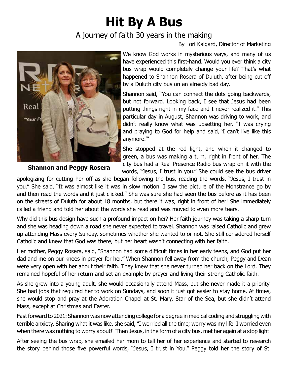## **Hit By A Bus**

#### A journey of faith 30 years in the making

By Lori Kalgard, Director of Marketing



**Shannon and Peggy Rosera**

We know God works in mysterious ways, and many of us have experienced this first-hand. Would you ever think a city bus wrap would completely change your life? That's what happened to Shannon Rosera of Duluth, after being cut off by a Duluth city bus on an already bad day.

Shannon said, "You can connect the dots going backwards, but not forward. Looking back, I see that Jesus had been putting things right in my face and I never realized it." This particular day in August, Shannon was driving to work, and didn't really know what was upsetting her. "I was crying and praying to God for help and said, 'I can't live like this anymore.'"

She stopped at the red light, and when it changed to green, a bus was making a turn, right in front of her. The city bus had a Real Presence Radio bus wrap on it with the words, "Jesus, I trust in you." She could see the bus driver

apologizing for cutting her off as she began following the bus, reading the words, "Jesus, I trust in you." She said, "It was almost like it was in slow motion. I saw the picture of the Monstrance go by and then read the words and it just clicked." She was sure she had seen the bus before as it has been on the streets of Duluth for about 18 months, but there it was, right in front of her! She immediately called a friend and told her about the words she read and was moved to even more tears.

Why did this bus design have such a profound impact on her? Her faith journey was taking a sharp turn and she was heading down a road she never expected to travel. Shannon was raised Catholic and grew up attending Mass every Sunday, sometimes whether she wanted to or not. She still considered herself Catholic and knew that God was there, but her heart wasn't connecting with her faith.

Her mother, Peggy Rosera, said, "Shannon had some difficult times in her early teens, and God put her dad and me on our knees in prayer for her." When Shannon fell away from the church, Peggy and Dean were very open with her about their faith. They knew that she never turned her back on the Lord. They remained hopeful of her return and set an example by prayer and living their strong Catholic faith.

As she grew into a young adult, she would occasionally attend Mass, but she never made it a priority. She had jobs that required her to work on Sundays, and soon it just got easier to stay home. At times, she would stop and pray at the Adoration Chapel at St. Mary, Star of the Sea, but she didn't attend Mass, except at Christmas and Easter.

Fast forward to 2021: Shannon was now attending college for a degree in medical coding and struggling with terrible anxiety. Sharing what it was like, she said, "I worried all the time; worry was my life. I worried even when there was nothing to worry about!" Then Jesus, in the form of a city bus, met her again at a stop light.

After seeing the bus wrap, she emailed her mom to tell her of her experience and started to research the story behind those five powerful words, "Jesus, I trust in You." Peggy told her the story of St.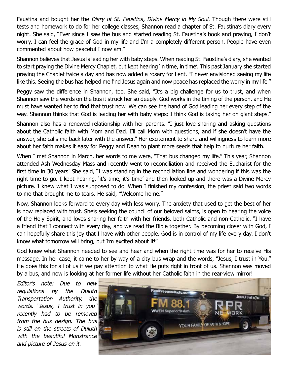Faustina and bought her the Diary of St. Faustina, Divine Mercy in My Soul. Though there were still tests and homework to do for her college classes, Shannon read a chapter of St. Faustina's diary every night. She said, "Ever since I saw the bus and started reading St. Faustina's book and praying, I don't worry. I can feel the grace of God in my life and I'm a completely different person. People have even commented about how peaceful I now am."

Shannon believes that Jesus is leading her with baby steps. When reading St. Faustina's diary, she wanted to start praying the Divine Mercy Chaplet, but kept hearing 'in time, in time'. This past January she started praying the Chaplet twice a day and has now added a rosary for Lent. "I never envisioned seeing my life like this. Seeing the bus has helped me find Jesus again and now peace has replaced the worry in my life."

Peggy saw the difference in Shannon, too. She said, "It's a big challenge for us to trust, and when Shannon saw the words on the bus it struck her so deeply. God works in the timing of the person, and He must have wanted her to find that trust now. We can see the hand of God leading her every step of the way. Shannon thinks that God is leading her with baby steps; I think God is taking her on giant steps."

Shannon also has a renewed relationship with her parents. "I just love sharing and asking questions about the Catholic faith with Mom and Dad. I'll call Mom with questions, and if she doesn't have the answer, she calls me back later with the answer." Her excitement to share and willingness to learn more about her faith makes it easy for Peggy and Dean to plant more seeds that help to nurture her faith.

When I met Shannon in March, her words to me were, "That bus changed my life." This year, Shannon attended Ash Wednesday Mass and recently went to reconciliation and received the Eucharist for the first time in 30 years! She said, "I was standing in the reconciliation line and wondering if this was the right time to go. I kept hearing, 'it's time, it's time' and then looked up and there was a Divine Mercy picture. I knew what I was supposed to do. When I finished my confession, the priest said two words to me that brought me to tears. He said, "Welcome home."

Now, Shannon looks forward to every day with less worry. The anxiety that used to get the best of her is now replaced with trust. She's seeking the council of our beloved saints, is open to hearing the voice of the Holy Spirit, and loves sharing her faith with her friends, both Catholic and non-Catholic. "I have a friend that I connect with every day, and we read the Bible together. By becoming closer with God, I can hopefully share this joy that I have with other people. God is in control of my life every day. I don't know what tomorrow will bring, but I'm excited about it!"

God knew what Shannon needed to see and hear and when the right time was for her to receive His message. In her case, it came to her by way of a city bus wrap and the words, "Jesus, I trust in You." He does this for all of us if we pay attention to what He puts right in front of us. Shannon was moved by a bus, and now is looking at her former life without her Catholic faith in the rear-view mirror!

Editor's note: Due to new regulations by the Duluth Transportation Authority, the words, "Jesus, I trust in you" recently had to be removed from the bus design. The bus is still on the streets of Duluth with the beautiful Monstrance and picture of Jesus on it.

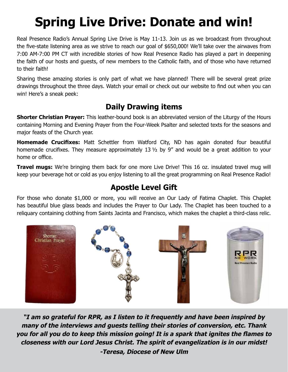## **Spring Live Drive: Donate and win!**

Real Presence Radio's Annual Spring Live Drive is May 11-13. Join us as we broadcast from throughout the five-state listening area as we strive to reach our goal of \$650,000! We'll take over the airwaves from 7:00 AM-7:00 PM CT with incredible stories of how Real Presence Radio has played a part in deepening the faith of our hosts and guests, of new members to the Catholic faith, and of those who have returned to their faith!

Sharing these amazing stories is only part of what we have planned! There will be several great prize drawings throughout the three days. Watch your email or check out our website to find out when you can win! Here's a sneak peek:

#### **Daily Drawing items**

**Shorter Christian Prayer:** This leather-bound book is an abbreviated version of the Liturgy of the Hours containing Morning and Evening Prayer from the Four-Week Psalter and selected texts for the seasons and major feasts of the Church year.

**Homemade Crucifixes:** Matt Schettler from Watford City, ND has again donated four beautiful homemade crucifixes. They measure approximately 13  $1/2$  by 9" and would be a great addition to your home or office.

**Travel mugs:** We're bringing them back for one more Live Drive! This 16 oz. insulated travel mug will keep your beverage hot or cold as you enjoy listening to all the great programming on Real Presence Radio!

#### **Apostle Level Gift**

For those who donate \$1,000 or more, you will receive an Our Lady of Fatima Chaplet. This Chaplet has beautiful blue glass beads and includes the Prayer to Our Lady. The Chaplet has been touched to a reliquary containing clothing from Saints Jacinta and Francisco, which makes the chaplet a third-class relic.



**"I am so grateful for RPR, as I listen to it frequently and have been inspired by many of the interviews and guests telling their stories of conversion, etc. Thank you for all you do to keep this mission going! It is a spark that ignites the flames to closeness with our Lord Jesus Christ. The spirit of evangelization is in our midst! -Teresa, Diocese of New Ulm**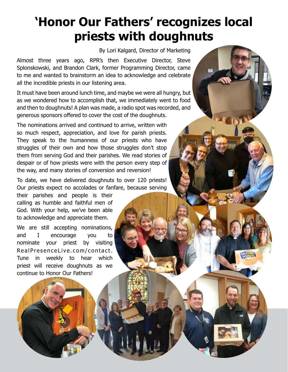### **'Honor Our Fathers' recognizes local priests with doughnuts**

By Lori Kalgard, Director of Marketing

Almost three years ago, RPR's then Executive Director, Steve Splonskowski, and Brandon Clark, former Programming Director, came to me and wanted to brainstorm an idea to acknowledge and celebrate all the incredible priests in our listening area.

It must have been around lunch time, and maybe we were all hungry, but as we wondered how to accomplish that, we immediately went to food and then to doughnuts! A plan was made, a radio spot was recorded, and generous sponsors offered to cover the cost of the doughnuts.

The nominations arrived and continued to arrive, written with so much respect, appreciation, and love for parish priests. They speak to the humanness of our priests who have struggles of their own and how those struggles don't stop them from serving God and their parishes. We read stories of despair or of how priests were with the person every step of the way, and many stories of conversion and reversion!

To date, we have delivered doughnuts to over 120 priests! Our priests expect no accolades or fanfare, because serving

their parishes and people is their calling as humble and faithful men of God. With your help, we've been able to acknowledge and appreciate them.

We are still accepting nominations, and I encourage you to nominate your priest by visiting RealPresenceLive.com/contact. Tune in weekly to hear which priest will receive doughnuts as we continue to Honor Our Fathers!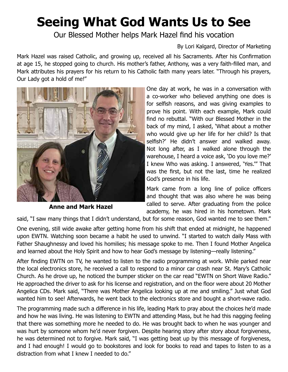## **Seeing What God Wants Us to See**

Our Blessed Mother helps Mark Hazel find his vocation

By Lori Kalgard, Director of Marketing

Mark Hazel was raised Catholic, and growing up, received all his Sacraments. After his Confirmation at age 15, he stopped going to church. His mother's father, Anthony, was a very faith-filled man, and Mark attributes his prayers for his return to his Catholic faith many years later. "Through his prayers, Our Lady got a hold of me!"



**Anne and Mark Hazel**

One day at work, he was in a conversation with a co-worker who believed anything one does is for selfish reasons, and was giving examples to prove his point. With each example, Mark could find no rebuttal. "With our Blessed Mother in the back of my mind, I asked, 'What about a mother who would give up her life for her child? Is that selfish?' He didn't answer and walked away. Not long after, as I walked alone through the warehouse, I heard a voice ask, 'Do you love me?' I knew Who was asking. I answered, 'Yes.'" That was the first, but not the last, time he realized God's presence in his life.

Mark came from a long line of police officers and thought that was also where he was being called to serve. After graduating from the police academy, he was hired in his hometown. Mark

said, "I saw many things that I didn't understand, but for some reason, God wanted me to see them."

One evening, still wide awake after getting home from his shift that ended at midnight, he happened upon EWTN. Watching soon became a habit he used to unwind. "I started to watch daily Mass with Father Shaughnessy and loved his homilies; his message spoke to me. Then I found Mother Angelica and learned about the Holy Spirit and how to hear God's message by listening—really listening."

After finding EWTN on TV, he wanted to listen to the radio programming at work. While parked near the local electronics store, he received a call to respond to a minor car crash near St. Mary's Catholic Church. As he drove up, he noticed the bumper sticker on the car read "EWTN on Short Wave Radio." He approached the driver to ask for his license and registration, and on the floor were about 20 Mother Angelica CDs. Mark said, "There was Mother Angelica looking up at me and smiling." Just what God wanted him to see! Afterwards, he went back to the electronics store and bought a short-wave radio.

The programming made such a difference in his life, leading Mark to pray about the choices he'd made and how he was living. He was listening to EWTN and attending Mass, but he had this nagging feeling that there was something more he needed to do. He was brought back to when he was younger and was hurt by someone whom he'd never forgiven. Despite hearing story after story about forgiveness, he was determined not to forgive. Mark said, "I was getting beat up by this message of forgiveness, and I had enough! I would go to bookstores and look for books to read and tapes to listen to as a distraction from what I knew I needed to do."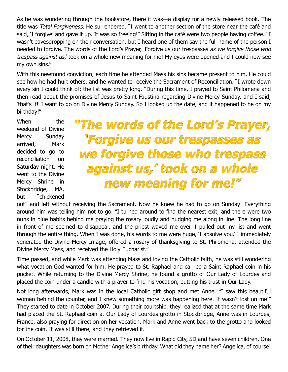As he was wondering through the bookstore, there it was—a display for a newly released book. The title was Total Forgiveness. He surrendered. "I went to another section of the store near the café and said, 'I forgive' and gave it up. It was so freeing!" Sitting in the café were two people having coffee. "I wasn't eavesdropping on their conversation, but I heard one of them say the full name of the person I needed to forgive. The words of the Lord's Prayer, 'Forgive us our trespasses as we forgive those who trespass against us,' took on a whole new meaning for me! My eyes were opened and I could now see my own sins."

With this newfound conviction, each time he attended Mass his sins became present to him. He could see how he had hurt others, and he wanted to receive the Sacrament of Reconciliation. "I wrote down every sin I could think of; the list was pretty long. "During this time, I prayed to Saint Philomena and then read about the promises of Jesus to Saint Faustina regarding Divine Mercy Sunday, and I said, 'that's it!' I want to go on Divine Mercy Sunday. So I looked up the date, and it happened to be on my birthday!"

When the weekend of Divine Mercy Sunday arrived, Mark decided to go to reconciliation on Saturday night. He went to the Divine Mercy Shrine in Stockbridge, MA, but "chickened

**"The words of the Lord's Prayer, 'Forgive us our trespasses as we forgive those who trespass against us,' took on a whole new meaning for me!"**

out" and left without receiving the Sacrament. Now he knew he had to go on Sunday! Everything around him was telling him not to go. "I turned around to find the nearest exit, and there were two nuns in blue habits behind me praying the rosary loudly and nudging me along in line! The long line in front of me seemed to disappear, and the priest waved me over. I pulled out my list and went through the entire thing. When I was done, his words to me were huge, 'I absolve you.' I immediately venerated the Divine Mercy Image, offered a rosary of thanksgiving to St. Philomena, attended the Divine Mercy Mass, and received the Holy Eucharist."

Time passed, and while Mark was attending Mass and loving the Catholic faith, he was still wondering what vocation God wanted for him. He prayed to St. Raphael and carried a Saint Raphael coin in his pocket. While returning to the Divine Mercy Shrine, he found a grotto of Our Lady of Lourdes and placed the coin under a candle with a prayer to find his vocation, putting his trust in Our Lady.

Not long afterwards, Mark was in the local Catholic gift shop and met Anne. "I saw this beautiful woman behind the counter, and I knew something more was happening here. It wasn't lost on me!" They started to date in October 2007. During their courtship, they realized that at the same time Mark had placed the St. Raphael coin at Our Lady of Lourdes grotto in Stockbridge, Anne was in Lourdes, France, also praying for direction on her vocation. Mark and Anne went back to the grotto and looked for the coin. It was still there, and they retrieved it.

On October 11, 2008, they were married. They now live in Rapid City, SD and have seven children. One of their daughters was born on Mother Angelica's birthday. What did they name her? Angelica, of course!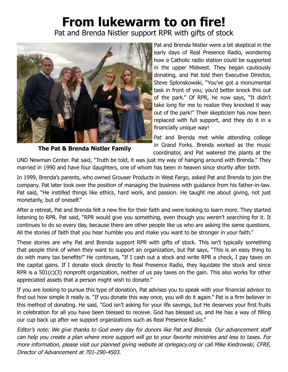#### Pat and Brenda Nistler support RPR with gifts of stock **From lukewarm to on fire!**



**The Pat & Brenda Nistler Family**

Pat and Brenda Nistler were a bit skeptical in the early days of Real Presence Radio, wondering how a Catholic radio station could be supported in the upper Midwest. They began cautiously donating, and Pat told then Executive Director, Steve Splonskowski, "You've got a monumental task in front of you; you'd better knock this out of the park." Of RPR, he now says, "It didn't take long for me to realize they knocked it way out of the park!" Their skepticism has now been replaced with full support, and they do it in a financially unique way!

Pat and Brenda met while attending college in Grand Forks. Brenda worked as the music coordinator, and Pat watered the plants at the

UND Newman Center. Pat said, "Truth be told, it was just my way of hanging around with Brenda." They married in 1990 and have four daughters, one of whom has been in heaven since shortly after birth.

In 1999, Brenda's parents, who owned Grouser Products in West Fargo, asked Pat and Brenda to join the company. Pat later took over the position of managing the business with guidance from his father-in-law. Pat said, "He instilled things like ethics, hard work, and passion. He taught me about giving, not just monetarily, but of oneself."

After a retreat, Pat and Brenda felt a new fire for their faith and were looking to learn more. They started listening to RPR. Pat said, "RPR would give you something, even though you weren't searching for it. It continues to do so every day, because there are other people like us who are asking the same questions. All the stories of faith that you hear humble you and make you want to be stronger in your faith."

These stories are why Pat and Brenda support RPR with gifts of stock. This isn't typically something that people think of when they want to support an organization, but Pat says, "This is an easy thing to do with many tax benefits!" He continues, "If I cash out a stock and write RPR a check, I pay taxes on the capital gains. If I donate stock directly to Real Presence Radio, they liquidate the stock and since RPR is a 501(c)(3) nonprofit organization, neither of us pay taxes on the gain. This also works for other appreciated assets that a person might wish to donate."

If you are looking to pursue this type of donation, Pat advises you to speak with your financial advisor to find out how simple it really is. "If you donate this way once, you will do it again." Pat is a firm believer in this method of donating. He said, "God isn't asking for your life savings, but He deserves your first fruits in celebration for all you have been blessed to receive. God has blessed us, and He has a way of filling our cup back up after we support organizations such as Real Presence Radio."

Editor's note: We give thanks to God every day for donors like Pat and Brenda. Our advancement staff can help you create a plan where more support will go to your favorite ministries and less to taxes. For more information, please visit our planned giving website at rprlegacy.org or call Mike Kiedrowski, CFRE, Director of Advancement at 701-290-4503.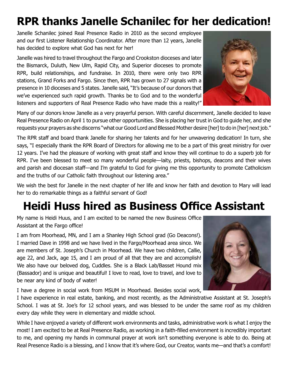### **RPR thanks Janelle Schanilec for her dedication!**

Janelle Schanilec joined Real Presence Radio in 2010 as the second employee and our first Listener Relationship Coordinator. After more than 12 years, Janelle has decided to explore what God has next for her!

Janelle was hired to travel throughout the Fargo and Crookston dioceses and later the Bismarck, Duluth, New Ulm, Rapid City, and Superior dioceses to promote RPR, build relationships, and fundraise. In 2010, there were only two RPR stations, Grand Forks and Fargo. Since then, RPR has grown to 27 signals with a presence in 10 dioceses and 5 states. Janelle said, "It's because of our donors that we've experienced such rapid growth. Thanks be to God and to the wonderful listeners and supporters of Real Presence Radio who have made this a reality!"

Many of our donors know Janelle as a very prayerful person. With careful discernment, Janelle decided to leave Real Presence Radio on April 1 to pursue other opportunities. She is placing her trust in God to guide her, and she requests your prayers as she discerns "what our Good Lord and Blessed Mother desire [her] to do in [her] next job."

The RPR staff and board thank Janelle for sharing her talents and for her unwavering dedication! In turn, she says, "I especially thank the RPR Board of Directors for allowing me to be a part of this great ministry for over 12 years. I've had the pleasure of working with great staff and know they will continue to do a superb job for RPR. I've been blessed to meet so many wonderful people—laity, priests, bishops, deacons and their wives and parish and diocesan staff—and I'm grateful to God for giving me this opportunity to promote Catholicism and the truths of our Catholic faith throughout our listening area."

We wish the best for Janelle in the next chapter of her life and know her faith and devotion to Mary will lead her to do remarkable things as a faithful servant of God!

### **Heidi Huss hired as Business Office Assistant**

My name is Heidi Huus, and I am excited to be named the new Business Office Assistant at the Fargo office!

I am from Moorhead, MN, and I am a Shanley High School grad (Go Deacons!). I married Dave in 1998 and we have lived in the Fargo/Moorhead area since. We are members of St. Joseph's Church in Moorhead. We have two children, Callie, age 22, and Jack, age 15, and I am proud of all that they are and accomplish! We also have our beloved dog, Cuddles. She is a Black Lab/Basset Hound mix (Bassador) and is unique and beautiful! I love to read, love to travel, and love to be near any kind of body of water!

I have a degree in social work from MSUM in Moorhead. Besides social work,

I have experience in real estate, banking, and most recently, as the Administrative Assistant at St. Joseph's School. I was at St. Joe's for 12 school years, and was blessed to be under the same roof as my children every day while they were in elementary and middle school.

While I have enjoyed a variety of different work environments and tasks, administrative work is what I enjoy the most! I am excited to be at Real Presence Radio, as working in a faith-filled environment is incredibly important to me, and opening my hands in communal prayer at work isn't something everyone is able to do. Being at Real Presence Radio is a blessing, and I know that it's where God, our Creator, wants me—and that's a comfort!